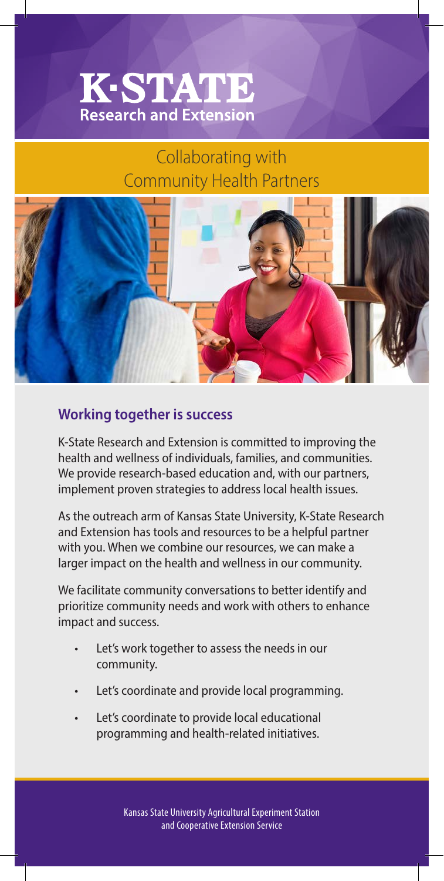## **K-STATE Research and Extension**

## Collaborating with Community Health Partners



## **Working together is success**

K-State Research and Extension is committed to improving the health and wellness of individuals, families, and communities. We provide research-based education and, with our partners, implement proven strategies to address local health issues.

As the outreach arm of Kansas State University, K-State Research and Extension has tools and resources to be a helpful partner with you. When we combine our resources, we can make a larger impact on the health and wellness in our community.

We facilitate community conversations to better identify and prioritize community needs and work with others to enhance impact and success.

- Let's work together to assess the needs in our community.
- Let's coordinate and provide local programming.
- Let's coordinate to provide local educational programming and health-related initiatives.